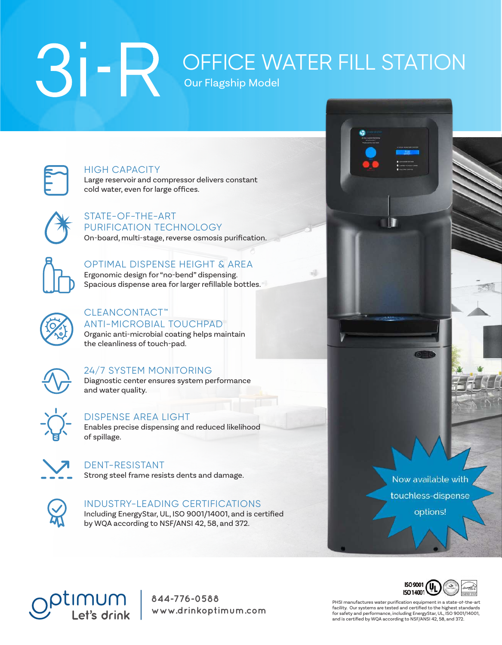# Our Flagship Model OFFICE WATER FILL STATION



HIGH CAPACITY Large reservoir and compressor delivers constant

cold water, even for large offices.



STATE-OF-THE-ART PURIFICATION TECHNOLOGY On-board, multi-stage, reverse osmosis purification.



### OPTIMAL DISPENSE HEIGHT & AREA

Ergonomic design for "no-bend" dispensing. Spacious dispense area for larger refillable bottles.



#### CLEANCONTACT™ ANTI-MICROBIAL TOUCHPAD

Organic anti-microbial coating helps maintain the cleanliness of touch-pad.



### 24/7 SYSTEM MONITORING

Diagnostic center ensures system performance and water quality.



### DISPENSE AREA LIGHT

Enables precise dispensing and reduced likelihood of spillage.



DENT-RESISTANT Strong steel frame resists dents and damage.



#### INDUSTRY-LEADING CERTIFICATIONS

Including EnergyStar, UL, ISO 9001/14001, and is certified by WQA according to NSF/ANSI 42, 58, and 372.

Now available with

touchless-dispense

options!

tımum Let's drink

King of Prussia, PA 19406 855.474.7934 **844-776-0588** www.drinkoptimum.com



PHSI manufactures water purification equipment in a state-of-the-art facility. Our systems are tested and certified to the highest standards<br>for safety and performance, including EnergyStar, UL, ISO 9001/14001,<br>and is certified by WQA according to NSF/ANSI 42, 58, and 372.